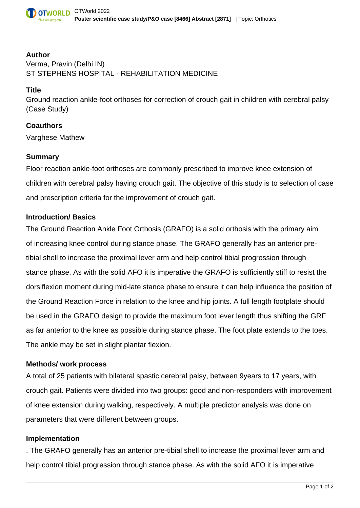

# **Author** Verma, Pravin (Delhi IN) ST STEPHENS HOSPITAL - REHABILITATION MEDICINE

## **Title**

Ground reaction ankle-foot orthoses for correction of crouch gait in children with cerebral palsy (Case Study)

## **Coauthors**

Varghese Mathew

## **Summary**

Floor reaction ankle-foot orthoses are commonly prescribed to improve knee extension of children with cerebral palsy having crouch gait. The objective of this study is to selection of case and prescription criteria for the improvement of crouch gait.

## **Introduction/ Basics**

The Ground Reaction Ankle Foot Orthosis (GRAFO) is a solid orthosis with the primary aim of increasing knee control during stance phase. The GRAFO generally has an anterior pretibial shell to increase the proximal lever arm and help control tibial progression through stance phase. As with the solid AFO it is imperative the GRAFO is sufficiently stiff to resist the dorsiflexion moment during mid-late stance phase to ensure it can help influence the position of the Ground Reaction Force in relation to the knee and hip joints. A full length footplate should be used in the GRAFO design to provide the maximum foot lever length thus shifting the GRF as far anterior to the knee as possible during stance phase. The foot plate extends to the toes. The ankle may be set in slight plantar flexion.

#### **Methods/ work process**

A total of 25 patients with bilateral spastic cerebral palsy, between 9years to 17 years, with crouch gait. Patients were divided into two groups: good and non-responders with improvement of knee extension during walking, respectively. A multiple predictor analysis was done on parameters that were different between groups.

#### **Implementation**

. The GRAFO generally has an anterior pre-tibial shell to increase the proximal lever arm and help control tibial progression through stance phase. As with the solid AFO it is imperative